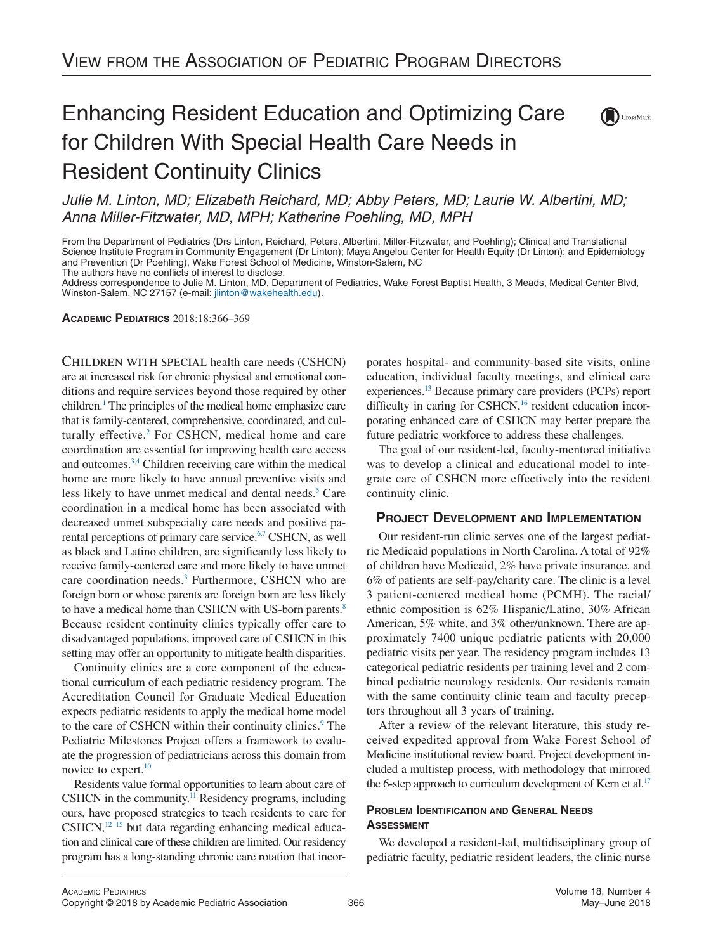# Enhancing Resident Education and Optimizing Care for Children With Special Health Care Needs in Resident Continuity Clinics



*Julie M. Linton, MD; Elizabeth Reichard, MD; Abby Peters, MD; Laurie W. Albertini, MD; Anna Miller-Fitzwater, MD, MPH; Katherine Poehling, MD, MPH*

From the Department of Pediatrics (Drs Linton, Reichard, Peters, Albertini, Miller-Fitzwater, and Poehling); Clinical and Translational Science Institute Program in Community Engagement (Dr Linton); Maya Angelou Center for Health Equity (Dr Linton); and Epidemiology and Prevention (Dr Poehling), Wake Forest School of Medicine, Winston-Salem, NC

The authors have no conflicts of interest to disclose.

Address correspondence to Julie M. Linton, MD, Department of Pediatrics, Wake Forest Baptist Health, 3 Meads, Medical Center Blvd, Winston-Salem, NC 27157 (e-mail: [jlinton@wakehealth.edu\)](mailto:jlinton@wakehealth.edu).

**ACADEMIC PEDIATRICS** 2018;18:366–369

Children with special health care needs (CSHCN) are at increased risk for chronic physical and emotional conditions and require services beyond those required by other children[.1](#page-3-0) The principles of the medical home emphasize care that is family-centered, comprehensive, coordinated, and culturally effective.<sup>2</sup> For CSHCN, medical home and care coordination are essential for improving health care access and outcomes[.3,4](#page-3-2) Children receiving care within the medical home are more likely to have annual preventive visits and less likely to have unmet medical and dental needs.<sup>5</sup> Care coordination in a medical home has been associated with decreased unmet subspecialty care needs and positive parental perceptions of primary care service.<sup>6,7</sup> CSHCN, as well as black and Latino children, are significantly less likely to receive family-centered care and more likely to have unmet care coordination needs.<sup>3</sup> Furthermore, CSHCN who are foreign born or whose parents are foreign born are less likely to have a medical home than CSHCN with US-born parents.<sup>8</sup> Because resident continuity clinics typically offer care to disadvantaged populations, improved care of CSHCN in this setting may offer an opportunity to mitigate health disparities.

Continuity clinics are a core component of the educational curriculum of each pediatric residency program. The Accreditation Council for Graduate Medical Education expects pediatric residents to apply the medical home model to the care of CSHCN within their continuity clinics.<sup>9</sup> The Pediatric Milestones Project offers a framework to evaluate the progression of pediatricians across this domain from novice to expert.<sup>10</sup>

Residents value formal opportunities to learn about care of CSHCN in the community.<sup>11</sup> Residency programs, including ours, have proposed strategies to teach residents to care for  $CSHCN$ , $^{12-15}$  but data regarding enhancing medical education and clinical care of these children are limited. Our residency program has a long-standing chronic care rotation that incor-

porates hospital- and community-based site visits, online education, individual faculty meetings, and clinical care experiences[.13](#page-3-10) Because primary care providers (PCPs) report difficulty in caring for CSHCN,<sup>16</sup> resident education incorporating enhanced care of CSHCN may better prepare the future pediatric workforce to address these challenges.

The goal of our resident-led, faculty-mentored initiative was to develop a clinical and educational model to integrate care of CSHCN more effectively into the resident continuity clinic.

# **PROJECT DEVELOPMENT AND IMPLEMENTATION**

Our resident-run clinic serves one of the largest pediatric Medicaid populations in North Carolina. A total of 92% of children have Medicaid, 2% have private insurance, and 6% of patients are self-pay/charity care. The clinic is a level 3 patient-centered medical home (PCMH). The racial/ ethnic composition is 62% Hispanic/Latino, 30% African American, 5% white, and 3% other/unknown. There are approximately 7400 unique pediatric patients with 20,000 pediatric visits per year. The residency program includes 13 categorical pediatric residents per training level and 2 combined pediatric neurology residents. Our residents remain with the same continuity clinic team and faculty preceptors throughout all 3 years of training.

After a review of the relevant literature, this study received expedited approval from Wake Forest School of Medicine institutional review board. Project development included a multistep process, with methodology that mirrored the 6-step approach to curriculum development of Kern et al.<sup>17</sup>

## **PROBLEM IDENTIFICATION AND GENERAL NEEDS ASSESSMENT**

We developed a resident-led, multidisciplinary group of pediatric faculty, pediatric resident leaders, the clinic nurse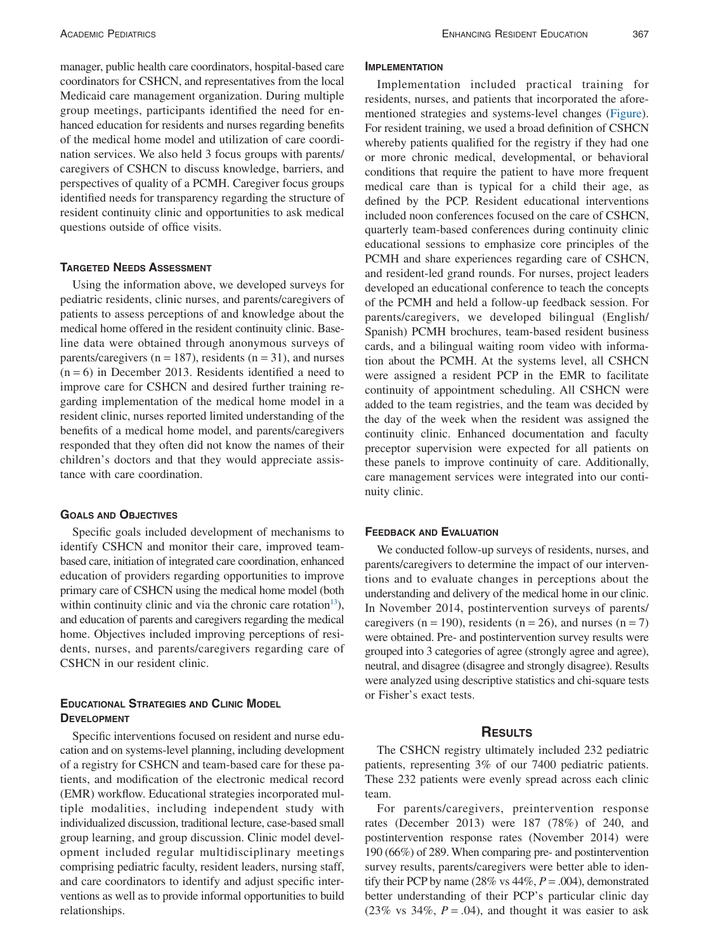manager, public health care coordinators, hospital-based care coordinators for CSHCN, and representatives from the local Medicaid care management organization. During multiple group meetings, participants identified the need for enhanced education for residents and nurses regarding benefits of the medical home model and utilization of care coordination services. We also held 3 focus groups with parents/ caregivers of CSHCN to discuss knowledge, barriers, and perspectives of quality of a PCMH. Caregiver focus groups identified needs for transparency regarding the structure of resident continuity clinic and opportunities to ask medical questions outside of office visits.

## **TARGETED NEEDS ASSESSMENT**

Using the information above, we developed surveys for pediatric residents, clinic nurses, and parents/caregivers of patients to assess perceptions of and knowledge about the medical home offered in the resident continuity clinic. Baseline data were obtained through anonymous surveys of parents/caregivers ( $n = 187$ ), residents ( $n = 31$ ), and nurses  $(n = 6)$  in December 2013. Residents identified a need to improve care for CSHCN and desired further training regarding implementation of the medical home model in a resident clinic, nurses reported limited understanding of the benefits of a medical home model, and parents/caregivers responded that they often did not know the names of their children's doctors and that they would appreciate assistance with care coordination.

#### **GOALS AND OBJECTIVES**

Specific goals included development of mechanisms to identify CSHCN and monitor their care, improved teambased care, initiation of integrated care coordination, enhanced education of providers regarding opportunities to improve primary care of CSHCN using the medical home model (both within continuity clinic and via the chronic care rotation<sup>13</sup>), and education of parents and caregivers regarding the medical home. Objectives included improving perceptions of residents, nurses, and parents/caregivers regarding care of CSHCN in our resident clinic.

## **EDUCATIONAL STRATEGIES AND CLINIC MODEL DEVELOPMENT**

Specific interventions focused on resident and nurse education and on systems-level planning, including development of a registry for CSHCN and team-based care for these patients, and modification of the electronic medical record (EMR) workflow. Educational strategies incorporated multiple modalities, including independent study with individualized discussion, traditional lecture, case-based small group learning, and group discussion. Clinic model development included regular multidisciplinary meetings comprising pediatric faculty, resident leaders, nursing staff, and care coordinators to identify and adjust specific interventions as well as to provide informal opportunities to build relationships.

### **IMPLEMENTATION**

Implementation included practical training for residents, nurses, and patients that incorporated the aforementioned strategies and systems-level changes [\(Figure\)](#page-2-0). For resident training, we used a broad definition of CSHCN whereby patients qualified for the registry if they had one or more chronic medical, developmental, or behavioral conditions that require the patient to have more frequent medical care than is typical for a child their age, as defined by the PCP. Resident educational interventions included noon conferences focused on the care of CSHCN, quarterly team-based conferences during continuity clinic educational sessions to emphasize core principles of the PCMH and share experiences regarding care of CSHCN, and resident-led grand rounds. For nurses, project leaders developed an educational conference to teach the concepts of the PCMH and held a follow-up feedback session. For parents/caregivers, we developed bilingual (English/ Spanish) PCMH brochures, team-based resident business cards, and a bilingual waiting room video with information about the PCMH. At the systems level, all CSHCN were assigned a resident PCP in the EMR to facilitate continuity of appointment scheduling. All CSHCN were added to the team registries, and the team was decided by the day of the week when the resident was assigned the continuity clinic. Enhanced documentation and faculty preceptor supervision were expected for all patients on these panels to improve continuity of care. Additionally, care management services were integrated into our continuity clinic.

#### **FEEDBACK AND EVALUATION**

We conducted follow-up surveys of residents, nurses, and parents/caregivers to determine the impact of our interventions and to evaluate changes in perceptions about the understanding and delivery of the medical home in our clinic. In November 2014, postintervention surveys of parents/ caregivers ( $n = 190$ ), residents ( $n = 26$ ), and nurses ( $n = 7$ ) were obtained. Pre- and postintervention survey results were grouped into 3 categories of agree (strongly agree and agree), neutral, and disagree (disagree and strongly disagree). Results were analyzed using descriptive statistics and chi-square tests or Fisher's exact tests.

## **RESULTS**

The CSHCN registry ultimately included 232 pediatric patients, representing 3% of our 7400 pediatric patients. These 232 patients were evenly spread across each clinic team.

For parents/caregivers, preintervention response rates (December 2013) were 187 (78%) of 240, and postintervention response rates (November 2014) were 190 (66%) of 289. When comparing pre- and postintervention survey results, parents/caregivers were better able to identify their PCP by name (28% vs 44%, *P* = .004), demonstrated better understanding of their PCP's particular clinic day (23% vs 34%,  $P = .04$ ), and thought it was easier to ask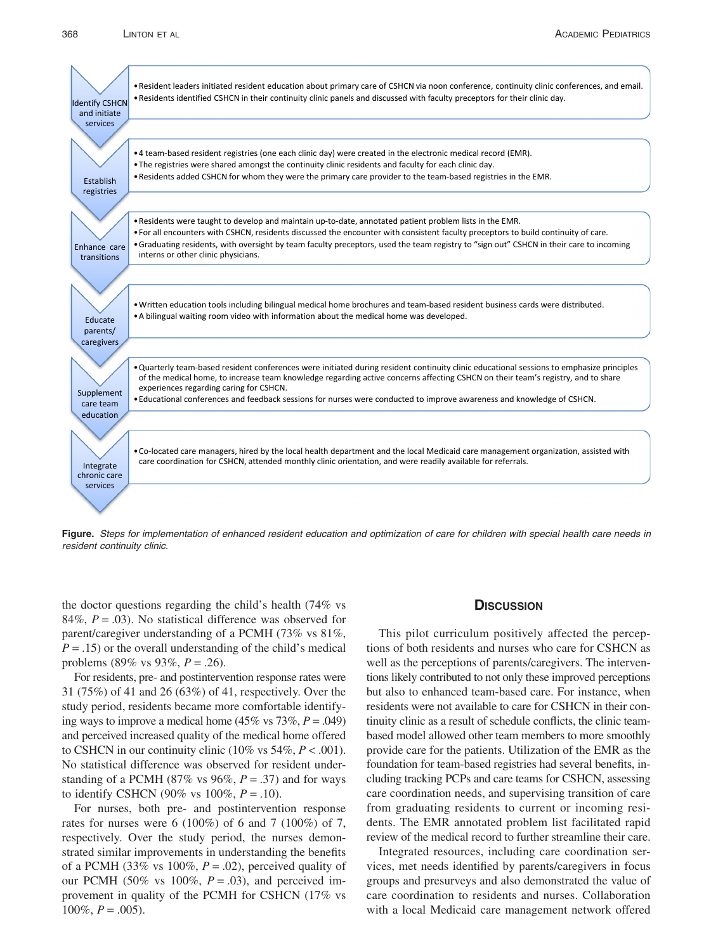

<span id="page-2-0"></span>**Figure.** *Steps for implementation of enhanced resident education and optimization of care for children with special health care needs in resident continuity clinic.*

the doctor questions regarding the child's health (74% vs 84%, *P* = .03). No statistical difference was observed for parent/caregiver understanding of a PCMH (73% vs 81%,  $P = .15$ ) or the overall understanding of the child's medical problems (89% vs 93%, *P* = .26).

For residents, pre- and postintervention response rates were 31 (75%) of 41 and 26 (63%) of 41, respectively. Over the study period, residents became more comfortable identifying ways to improve a medical home  $(45\% \text{ vs } 73\%, P = .049)$ and perceived increased quality of the medical home offered to CSHCN in our continuity clinic  $(10\% \text{ vs } 54\%, P < .001)$ . No statistical difference was observed for resident understanding of a PCMH (87% vs 96%,  $P = .37$ ) and for ways to identify CSHCN (90% vs 100%, *P* = .10).

For nurses, both pre- and postintervention response rates for nurses were 6 (100%) of 6 and 7 (100%) of 7, respectively. Over the study period, the nurses demonstrated similar improvements in understanding the benefits of a PCMH (33% vs 100%,  $P = .02$ ), perceived quality of our PCMH (50% vs 100%,  $P = .03$ ), and perceived improvement in quality of the PCMH for CSHCN (17% vs  $100\%, P = .005$ ).

#### **DISCUSSION**

This pilot curriculum positively affected the perceptions of both residents and nurses who care for CSHCN as well as the perceptions of parents/caregivers. The interventions likely contributed to not only these improved perceptions but also to enhanced team-based care. For instance, when residents were not available to care for CSHCN in their continuity clinic as a result of schedule conflicts, the clinic teambased model allowed other team members to more smoothly provide care for the patients. Utilization of the EMR as the foundation for team-based registries had several benefits, including tracking PCPs and care teams for CSHCN, assessing care coordination needs, and supervising transition of care from graduating residents to current or incoming residents. The EMR annotated problem list facilitated rapid review of the medical record to further streamline their care.

Integrated resources, including care coordination services, met needs identified by parents/caregivers in focus groups and presurveys and also demonstrated the value of care coordination to residents and nurses. Collaboration with a local Medicaid care management network offered